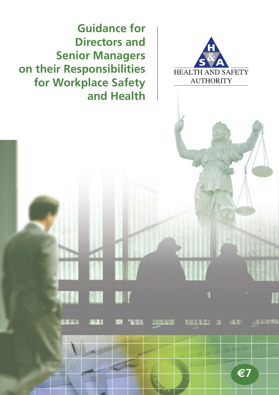HEALTH AND SAFETY **AUTHORITY** 

**€7**

**DEED** 

230 240 250

EULASI IL

B

**Guidance for Directors and Senior Managers on their Responsibilities for Workplace Safety and Health**

**SEIN** 

ひほお

当事项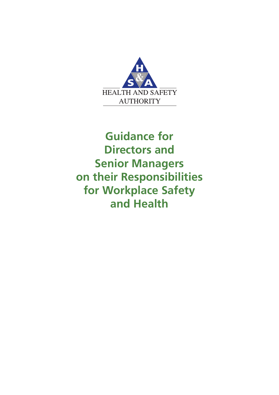

# **Guidance for Directors and Senior Managers on their Responsibilities for Workplace Safety and Health**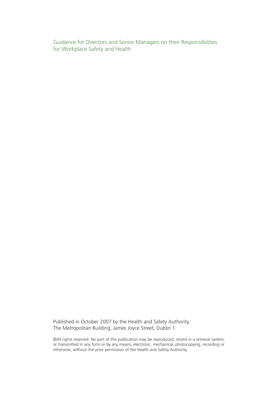Guidance for Directors and Senior Managers on their Responsibilities for Workplace Safety and Health

Published in October 2007 by the Health and Safety Authority, The Metropolitan Building, James Joyce Street, Dublin 1.

©All rights reserved. No part of this publication may be reproduced, stored in a retrieval system, or transmitted in any form or by any means, electronic, mechanical, photocopying, recording or otherwise, without the prior permission of the Health and Safety Authority.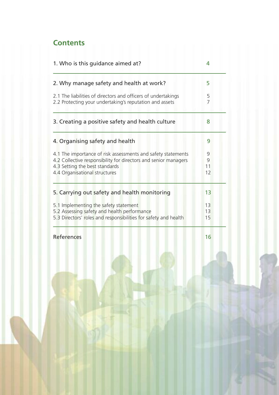## **Contents**

| 1. Who is this guidance aimed at?                                                                                        | 4              |
|--------------------------------------------------------------------------------------------------------------------------|----------------|
| 2. Why manage safety and health at work?                                                                                 | 5              |
| 2.1 The liabilities of directors and officers of undertakings<br>2.2 Protecting your undertaking's reputation and assets | $\frac{5}{7}$  |
| 3. Creating a positive safety and health culture                                                                         | 8              |
| 4. Organising safety and health                                                                                          | 9              |
| 4.1 The importance of risk assessments and safety statements                                                             | 9              |
| 4.2 Collective responsibility for directors and senior managers                                                          | 9              |
| 4.3 Setting the best standards<br>4.4 Organisational structures                                                          | 11<br>12       |
|                                                                                                                          |                |
| 5. Carrying out safety and health monitoring                                                                             | 1 <sub>3</sub> |
| 5.1 Implementing the safety statement                                                                                    | 13             |
| 5.2 Assessing safety and health performance                                                                              | 13             |
| 5.3 Directors' roles and responsibilities for safety and health                                                          | 15             |
|                                                                                                                          |                |
| <b>References</b>                                                                                                        | 16             |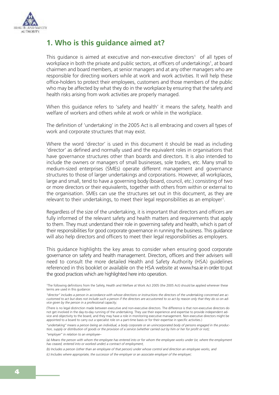

### **1. Who is this guidance aimed at?**

This quidance is aimed at executive and non-executive directors<sup>1</sup> of all types of workplace in both the private and public sectors, at officers of undertakings<sup>1</sup>, at board chairmen and board members, at senior managers and at any other managers who are responsible for directing workers while at work and work activities. It will help these office-holders to protect their employees, customers and those members of the public who may be affected by what they do in the workplace by ensuring that the safety and health risks arising from work activities are properly managed.

When this guidance refers to 'safety and health' it means the safety, health and welfare of workers and others while at work or while in the workplace.

The definition of 'undertaking' in the 2005 Act is all embracing and covers all types of work and corporate structures that may exist.

Where the word 'director' is used in this document it should be read as including 'director' as defined and normally used and the equivalent roles in organisations that have governance structures other than boards and directors. It is also intended to include the owners or managers of small businesses, sole traders, etc. Many small to medium-sized enterprises (SMEs) operate different management and governance structures to those of larger undertakings and corporations. However, all workplaces, large and small, tend to have a governing body (board, council, etc.) consisting of two or more directors or their equivalents, together with others from within or external to the organisation. SMEs can use the structures set out in this document, as they are relevant to their undertakings, to meet their legal responsibilities as an employer<sup>1</sup>.

Regardless of the size of the undertaking, it is important that directors and officers are fully informed of the relevant safety and health matters and requirements that apply to them. They must understand their role in governing safety and health, which is part of their responsibilities for good corporate governance in running the business. This guidance will also help directors and officers to meet their legal responsibilities as employers.

This guidance highlights the key areas to consider when ensuring good corporate governance on safety and health management. Directors, officers and their advisers will need to consult the more detailed Health and Safety Authority (HSA) guidelines referenced in this booklet or available on the HSA website at www.hsa.ie in order to put the good practices which are highlighted here into operation.

1The following definitions from the Safety, Health and Welfare at Work Act 2005 (the 2005 Act) should be applied wherever these terms are used in this guidance:

(b) Includes a person (other than an employee of that person) under whose control and direction an employee works, and *(c) Includes where appropriate, the successor of the employer or an associate employer of the employer;*

<sup>&</sup>quot;director" includes a person in accordance with whose directions or instructions the directors of the undertaking concerned are accustomed to act but does not include such a person if the directors are accustomed to so act by reason only that they do so on ad*vice given by the person in a professional capacity;*

<sup>(</sup>There is no legal distinction made between executive and non-executive directors. The difference is that non-executive directors do not get involved in the day-to-day running of the undertaking. They use their experience and expertise to provide independent advice and objectivity to the board, and they may have a role in monitoring executive management. Non-executive directors might be appointed to a board to carry out a specialist role on a part-time basis or for their expertise in specific activities.)

<sup>&</sup>quot;undertaking" means a person being an individual, a body corporate or an unincorporated body of persons engaged in the production, supply or distribution of goods or the provision of a service (whether carried out by him or her for profit or not); *"employer" in relation to an employee–*

<sup>(</sup>a) Means the person with whom the employee has entered into or for whom the employee works under (or, where the employment *has ceased, entered into or worked under) a contract of employment,*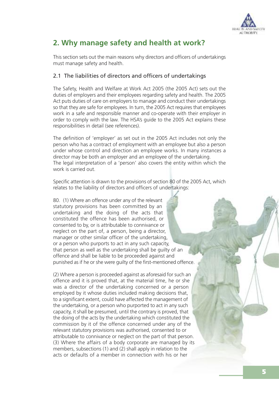

# **2. Why manage safety and health at work?**

This section sets out the main reasons why directors and officers of undertakings must manage safety and health.

#### 2.1 The liabilities of directors and officers of undertakings

The Safety, Health and Welfare at Work Act 2005 (the 2005 Act) sets out the duties of employers and their employees regarding safety and health. The 2005 Act puts duties of care on employers to manage and conduct their undertakings so that they are safe for employees. In turn, the 2005 Act requires that employees work in a safe and responsible manner and co-operate with their employer in order to comply with the law. The HSA's guide to the 2005 Act explains these responsibilities in detail (see references).

The definition of 'employer' as set out in the 2005 Act includes not only the person who has a contract of employment with an employee but also a person under whose control and direction an employee works. In many instances a director may be both an employer and an employee of the undertaking. The legal interpretation of a 'person' also covers the entity within which the work is carried out.

Specific attention is drawn to the provisions of section 80 of the 2005 Act, which relates to the liability of directors and officers of undertakings:

80. (1) Where an offence under any of the relevant statutory provisions has been committed by an undertaking and the doing of the acts that constituted the offence has been authorised, or consented to by, or is attributable to connivance or neglect on the part of, a person, being a director, manager or other similar officer of the undertaking, or a person who purports to act in any such capacity, that person as well as the undertaking shall be guilty of an offence and shall be liable to be proceeded against and punished as if he or she were guilty of the first-mentioned offence.

(2) Where a person is proceeded against as aforesaid for such an offence and it is proved that, at the material time, he or she was a director of the undertaking concerned or a person employed by it whose duties included making decisions that, to a significant extent, could have affected the management of the undertaking, or a person who purported to act in any such capacity, it shall be presumed, until the contrary is proved, that the doing of the acts by the undertaking which constituted the commission by it of the offence concerned under any of the relevant statutory provisions was authorised, consented to or attributable to connivance or neglect on the part of that person. (3) Where the affairs of a body corporate are managed by its members, subsections (1) and (2) shall apply in relation to the acts or defaults of a member in connection with his or her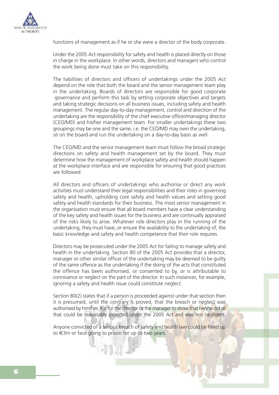

functions of management as if he or she were a director of the body corporate.

Under the 2005 Act responsibility for safety and health is placed directly on those in charge in the workplace. In other words, directors and managers who control the work being done must take on this responsibility.

The liabilities of directors and officers of undertakings under the 2005 Act depend on the role that both the board and the senior management team play in the undertaking. Boards of directors are responsible for good corporate governance and perform this task by setting corporate objectives and targets and taking strategic decisions on all business issues, including safety and health management. The regular day-to-day management, control and direction of the undertaking are the responsibility of the chief executive officer/managing director (CEO/MD) and his/her management team. For smaller undertakings these two groupings may be one and the same, i.e. the CEO/MD may own the undertaking, sit on the board and run the undertaking on a day-to-day basis as well.

The CEO/MD and the senior management team must follow the broad strategic directions on safety and health management set by the board. They must determine how the management of workplace safety and health should happen at the workplace interface and are responsible for ensuring that good practices are followed.

All directors and officers of undertakings who authorise or direct any work activities must understand their legal responsibilities and their roles in governing safety and health, upholding core safety and health values and setting good safety and health standards for their business. The most senior management in the organisation must ensure that all board members have a clear understanding of the key safety and health issues for the business and are continually appraised of the risks likely to arise. Whatever role directors play in the running of the undertaking, they must have, or ensure the availability to the undertaking of, the basic knowledge and safety and health competence that their role requires.

Directors may be prosecuted under the 2005 Act for failing to manage safety and health in the undertaking. Section 80 of the 2005 Act provides that a director, manager or other similar officer of the undertaking may be deemed to be guilty of the same offence as the undertaking if the doing of the acts that constituted the offence has been authorised, or consented to by, or is attributable to connivance or neglect on the part of the director. In such instances, for example, ignoring a safety and health issue could constitute neglect.

Section 80(2) states that if a person is proceeded against under that section then it is presumed, until the contrary is proved, that the breach or neglect was authorised by him/her. It is for the director or the manager to show that he/she did all that could be reasonably expected under the 2005 Act and was not negligent.

Anyone convicted of a serious breach of safety and health law could be fined up to €3m or face going to prison for up to two years.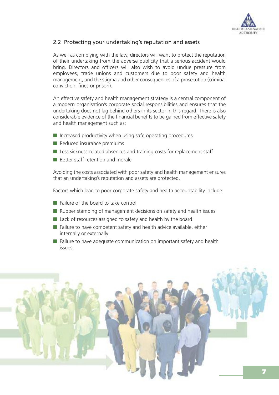

#### 2.2 Protecting your undertaking's reputation and assets

As well as complying with the law, directors will want to protect the reputation of their undertaking from the adverse publicity that a serious accident would bring. Directors and officers will also wish to avoid undue pressure from employees, trade unions and customers due to poor safety and health management, and the stigma and other consequences of a prosecution (criminal conviction, fines or prison).

An effective safety and health management strategy is a central component of a modern organisation's corporate social responsibilities and ensures that the undertaking does not lag behind others in its sector in this regard. There is also considerable evidence of the financial benefits to be gained from effective safety and health management such as:

- Increased productivity when using safe operating procedures
- Reduced insurance premiums
- Less sickness-related absences and training costs for replacement staff
- Better staff retention and morale

Avoiding the costs associated with poor safety and health management ensures that an undertaking's reputation and assets are protected.

Factors which lead to poor corporate safety and health accountability include:

- Failure of the board to take control
- Rubber stamping of management decisions on safety and health issues
- Lack of resources assigned to safety and health by the board
- Failure to have competent safety and health advice available, either internally or externally
- Failure to have adequate communication on important safety and health issues

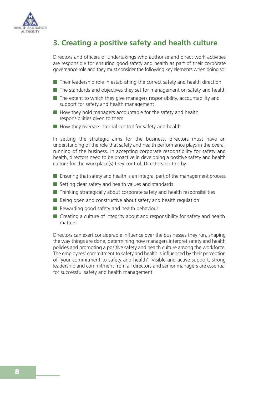

### **3. Creating a positive safety and health culture**

Directors and officers of undertakings who authorise and direct work activities are responsible for ensuring good safety and health as part of their corporate governance role and they must consider the following key elements when doing so:

- Their leadership role in establishing the correct safety and health direction
- The standards and objectives they set for management on safety and health
- The extent to which they give managers responsibility, accountability and support for safety and health management
- How they hold managers accountable for the safety and health responsibilities given to them
- How they oversee internal control for safety and health

In setting the strategic aims for the business, directors must have an understanding of the role that safety and health performance plays in the overall running of the business. In accepting corporate responsibility for safety and health, directors need to be proactive in developing a positive safety and health culture for the workplace(s) they control. Directors do this by:

- Ensuring that safety and health is an integral part of the management process
- Setting clear safety and health values and standards
- Thinking strategically about corporate safety and health responsibilities
- Being open and constructive about safety and health regulation
- Rewarding good safety and health behaviour
- Creating a culture of integrity about and responsibility for safety and health matters

Directors can exert considerable influence over the businesses they run, shaping the way things are done, determining how managers interpret safety and health policies and promoting a positive safety and health culture among the workforce. The employees' commitment to safety and health is influenced by their perception of 'your commitment to safety and health'. Visible and active support, strong leadership and commitment from all directors and senior managers are essential for successful safety and health management.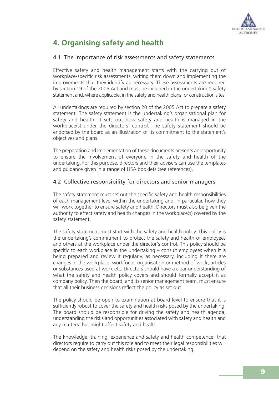

### **4. Organising safety and health**

#### 4.1 The importance of risk assessments and safety statements

Effective safety and health management starts with the carrying out of workplace-specific risk assessments, writing them down and implementing the improvements that they identify as necessary. These assessments are required by section 19 of the 2005 Act and must be included in the undertaking's safety statement and, where applicable, in the safety and health plans for construction sites.

All undertakings are required by section 20 of the 2005 Act to prepare a safety statement. The safety statement is the undertaking's organisational plan for safety and health. It sets out how safety and health is managed in the workplace(s) under the directors' control. The safety statement should be endorsed by the board as an illustration of its commitment to the statement's objectives and plans.

The preparation and implementation of these documents presents an opportunity to ensure the involvement of everyone in the safety and health of the undertaking. For this purpose, directors and their advisers can use the templates and guidance given in a range of HSA booklets (see references).

#### 4.2 Collective responsibility for directors and senior managers

The safety statement must set out the specific safety and health responsibilities of each management level within the undertaking and, in particular, how they will work together to ensure safety and health. Directors must also be given the authority to effect safety and health changes in the workplace(s) covered by the safety statement.

The safety statement must start with the safety and health policy. This policy is the undertaking's commitment to protect the safety and health of employees and others at the workplace under the director's control. This policy should be specific to each workplace in the undertaking – consult employees when it is being prepared and review it regularly, as necessary, including if there are changes in the workplace, workforce, organisation or method of work, articles or substances used at work etc. Directors should have a clear understanding of what the safety and health policy covers and should formally accept it as company policy. Then the board, and its senior management team, must ensure that all their business decisions reflect the policy as set out.

The policy should be open to examination at board level to ensure that it is sufficiently robust to cover the safety and health risks posed by the undertaking. The board should be responsible for driving the safety and health agenda, understanding the risks and opportunities associated with safety and health and any matters that might affect safety and health.

The knowledge, training, experience and safety and health competence that directors require to carry out this role and to meet their legal responsibilities will depend on the safety and health risks posed by the undertaking.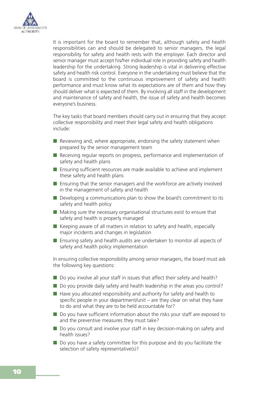

It is important for the board to remember that, although safety and health responsibilities can and should be delegated to senior managers, the legal responsibility for safety and health rests with the employer. Each director and senior manager must accept his/her individual role in providing safety and health leadership for the undertaking. Strong leadership is vital in delivering effective safety and health risk control. Everyone in the undertaking must believe that the board is committed to the continuous improvement of safety and health performance and must know what its expectations are of them and how they should deliver what is expected of them. By involving all staff in the development and maintenance of safety and health, the issue of safety and health becomes everyone's business.

The key tasks that board members should carry out in ensuring that they accept collective responsibility and meet their legal safety and health obligations include:

- $\blacksquare$  Reviewing and, where appropriate, endorsing the safety statement when prepared by the senior management team
- Receiving regular reports on progress, performance and implementation of safety and health plans
- Ensuring sufficient resources are made available to achieve and implement these safety and health plans
- Ensuring that the senior managers and the workforce are actively involved in the management of safety and health
- Developing a communications plan to show the board's commitment to its safety and health policy
- Making sure the necessary organisational structures exist to ensure that safety and health is properly managed
- Keeping aware of all matters in relation to safety and health, especially major incidents and changes in legislation
- Ensuring safety and health audits are undertaken to monitor all aspects of safety and health policy implementation

In ensuring collective responsibility among senior managers, the board must ask the following key questions:

- Do you involve all your staff in issues that affect their safety and health?
- Do you provide daily safety and health leadership in the areas you control?
- Have you allocated responsibility and authority for safety and health to specific people in your department/unit – are they clear on what they have to do and what they are to be held accountable for?
- Do you have sufficient information about the risks your staff are exposed to and the preventive measures they must take?
- Do you consult and involve your staff in key decision-making on safety and health issues?
- Do you have a safety committee for this purpose and do you facilitate the selection of safety representative(s)?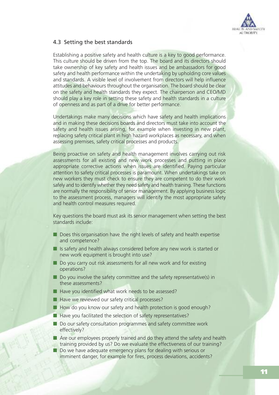

#### 4.3 Setting the best standards

Establishing a positive safety and health culture is a key to good performance. This culture should be driven from the top. The board and its directors should take ownership of key safety and health issues and be ambassadors for good safety and health performance within the undertaking by upholding core values and standards. A visible level of involvement from directors will help influence attitudes and behaviours throughout the organisation. The board should be clear on the safety and health standards they expect. The chairperson and CEO/MD should play a key role in setting these safety and health standards in a culture of openness and as part of a drive for better performance.

Undertakings make many decisions which have safety and health implications and in making these decisions boards and directors must take into account the safety and health issues arising, for example when investing in new plant, replacing safety critical plant in high hazard workplaces as necessary, and when assessing premises, safety critical processes and products.

Being proactive on safety and health management involves carrying out risk assessments for all existing and new work processes and putting in place appropriate corrective actions when issues are identified. Paying particular attention to safety critical processes is paramount. When undertakings take on new workers they must check to ensure they are competent to do their work safely and to identify whether they need safety and health training. These functions are normally the responsibility of senior management. By applying business logic to the assessment process, managers will identify the most appropriate safety and health control measures required.

Key questions the board must ask its senior management when setting the best standards include:

- Does this organisation have the right levels of safety and health expertise and competence?
- Is safety and health always considered before any new work is started or new work equipment is brought into use?
- Do you carry out risk assessments for all new work and for existing operations?
- $\blacksquare$  Do you involve the safety committee and the safety representative(s) in these assessments?
- Have you identified what work needs to be assessed?
- Have we reviewed our safety critical processes?
- How do you know our safety and health protection is good enough?
- Have you facilitated the selection of safety representatives?
- Do our safety consultation programmes and safety committee work effectively?
- Are our employees properly trained and do they attend the safety and health training provided by us? Do we evaluate the effectiveness of our training?
- Do we have adequate emergency plans for dealing with serious or imminent danger, for example for fires, process deviations, accidents?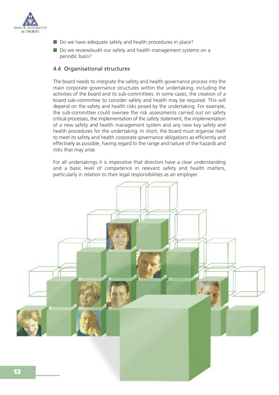

- Do we have adequate safety and health procedures in place?
- Do we review/audit our safety and health management systems on a periodic basis?

#### 4.4 Organisational structures

The board needs to integrate the safety and health governance process into the main corporate governance structures within the undertaking, including the activities of the board and its sub-committees. In some cases, the creation of a board sub-committee to consider safety and health may be required. This will depend on the safety and health risks posed by the undertaking. For example, the sub-committee could oversee the risk assessments carried out on safety critical processes, the implementation of the safety statement, the implementation of a new safety and health management system and any new key safety and health procedures for the undertaking. In short, the board must organise itself to meet its safety and health corporate governance obligations as efficiently and effectively as possible, having regard to the range and nature of the hazards and risks that may arise.

For all undertakings it is imperative that directors have a clear understanding and a basic level of competence in relevant safety and health matters, particularly in relation to their legal responsibilities as an employer.

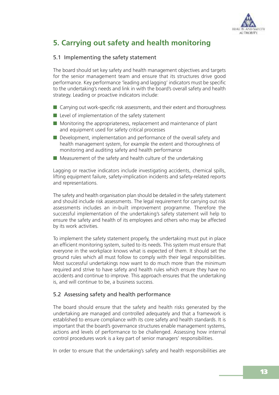

# **5. Carrying out safety and health monitoring**

#### 5.1 Implementing the safety statement

The board should set key safety and health management objectives and targets for the senior management team and ensure that its structures drive good performance. Key performance 'leading and lagging' indicators must be specific to the undertaking's needs and link in with the board's overall safety and health strategy. Leading or proactive indicators include:

- Carrying out work-specific risk assessments, and their extent and thoroughness
- Level of implementation of the safety statement
- Monitoring the appropriateness, replacement and maintenance of plant and equipment used for safety critical processes
- Development, implementation and performance of the overall safety and health management system, for example the extent and thoroughness of monitoring and auditing safety and health performance
- $\blacksquare$  Measurement of the safety and health culture of the undertaking

Lagging or reactive indicators include investigating accidents, chemical spills, lifting equipment failure, safety-implication incidents and safety-related reports and representations.

The safety and health organisation plan should be detailed in the safety statement and should include risk assessments. The legal requirement for carrying out risk assessments includes an in-built improvement programme. Therefore the successful implementation of the undertaking's safety statement will help to ensure the safety and health of its employees and others who may be affected by its work activities.

To implement the safety statement properly, the undertaking must put in place an efficient monitoring system, suited to its needs. This system must ensure that everyone in the workplace knows what is expected of them. It should set the ground rules which all must follow to comply with their legal responsibilities. Most successful undertakings now want to do much more than the minimum required and strive to have safety and health rules which ensure they have no accidents and continue to improve. This approach ensures that the undertaking is, and will continue to be, a business success.

#### 5.2 Assessing safety and health performance

The board should ensure that the safety and health risks generated by the undertaking are managed and controlled adequately and that a framework is established to ensure compliance with its core safety and health standards. It is important that the board's governance structures enable management systems, actions and levels of performance to be challenged. Assessing how internal control procedures work is a key part of senior managers' responsibilities.

In order to ensure that the undertaking's safety and health responsibilities are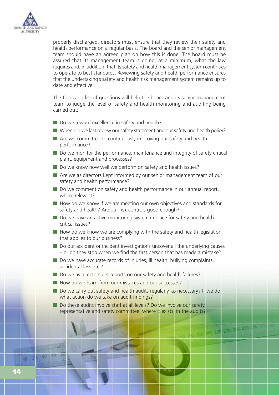

properly discharged, directors must ensure that they review their safety and health performance on a regular basis. The board and the senior management team should have an agreed plan on how this is done. The board must be assured that its management team is doing, at a minimum, what the law requires and, in addition, that its safety and health management system continues to operate to best standards. Reviewing safety and health performance ensures that the undertaking's safety and health risk management system remains up to date and effective.

The following list of questions will help the board and its senior management team to judge the level of safety and health monitoring and auditing being carried out:

- Do we reward excellence in safety and health?
- When did we last review our safety statement and our safety and health policy?
- Are we committed to continuously improving our safety and health performance?
- Do we monitor the performance, maintenance and integrity of safety critical plant, equipment and processes?
- Do we know how well we perform on safety and health issues?
- Are we as directors kept informed by our senior management team of our safety and health performance?
- Do we comment on safety and health performance in our annual report, where relevant?
- How do we know if we are meeting our own objectives and standards for safety and health? Are our risk controls good enough?
- Do we have an active monitoring system in place for safety and health critical issues?
- How do we know we are complying with the safety and health legislation that applies to our business?
- Do our accident or incident investigations uncover all the underlying causes – or do they stop when we find the first person that has made a mistake?
- Do we have accurate records of injuries, ill health, bullying complaints, accidental loss etc.?
- Do we as directors get reports on our safety and health failures?
- How do we learn from our mistakes and our successes?
- Do we carry out safety and health audits regularly, as necessary? If we do, what action do we take on audit findings?

0 220 230 270 250

■ Do these audits involve staff at all levels? Do we involve our safety representative and safety committee, where it exists, in the audits?

IO.

30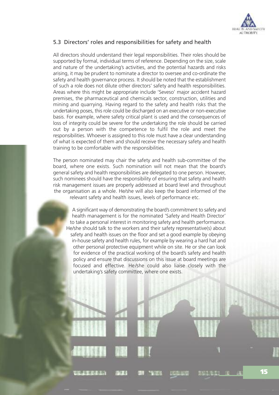

#### 5.3 Directors' roles and responsibilities for safety and health

All directors should understand their legal responsibilities. Their roles should be supported by formal, individual terms of reference. Depending on the size, scale and nature of the undertaking's activities, and the potential hazards and risks arising, it may be prudent to nominate a director to oversee and co-ordinate the safety and health governance process. It should be noted that the establishment of such a role does not dilute other directors' safety and health responsibilities. Areas where this might be appropriate include 'Seveso' major accident hazard premises, the pharmaceutical and chemicals sector, construction, utilities and mining and quarrying. Having regard to the safety and health risks that the undertaking poses, this role could be discharged on an executive or non-executive basis. For example, where safety critical plant is used and the consequences of loss of integrity could be severe for the undertaking the role should be carried out by a person with the competence to fulfil the role and meet the responsibilities. Whoever is assigned to this role must have a clear understanding of what is expected of them and should receive the necessary safety and health training to be comfortable with the responsibilities.

The person nominated may chair the safety and health sub-committee of the board, where one exists. Such nomination will not mean that the board's general safety and health responsibilities are delegated to one person. However, such nominees should have the responsibility of ensuring that safety and health risk management issues are properly addressed at board level and throughout the organisation as a whole. He/she will also keep the board informed of the relevant safety and health issues, levels of performance etc.

A significant way of demonstrating the board's commitment to safety and health management is for the nominated 'Safety and Health Director' to take a personal interest in monitoring safety and health performance. He/she should talk to the workers and their safety representative(s) about safety and health issues on the floor and set a good example by obeying in-house safety and health rules, for example by wearing a hard hat and other personal protective equipment while on site. He or she can look for evidence of the practical working of the board's safety and health policy and ensure that discussions on this issue at board meetings are focused and effective. He/she could also liaise closely with the undertaking's safety committee, where one exists.

地理信诺语言规

白頭 春



**15**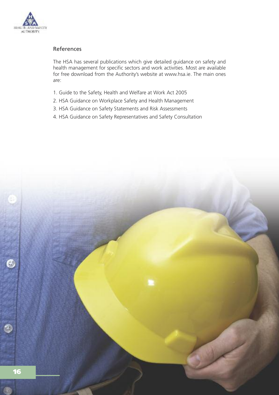

#### References

The HSA has several publications which give detailed guidance on safety and health management for specific sectors and work activities. Most are available for free download from the Authority's website at www.hsa.ie. The main ones are:

- 1. Guide to the Safety, Health and Welfare at Work Act 2005
- 2. HSA Guidance on Workplace Safety and Health Management
- 3. HSA Guidance on Safety Statements and Risk Assessments
- 4. HSA Guidance on Safety Representatives and Safety Consultation

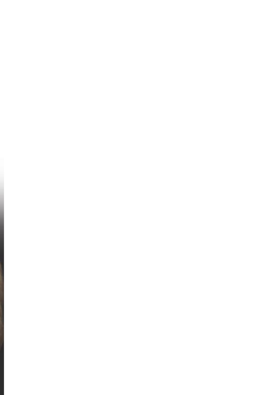